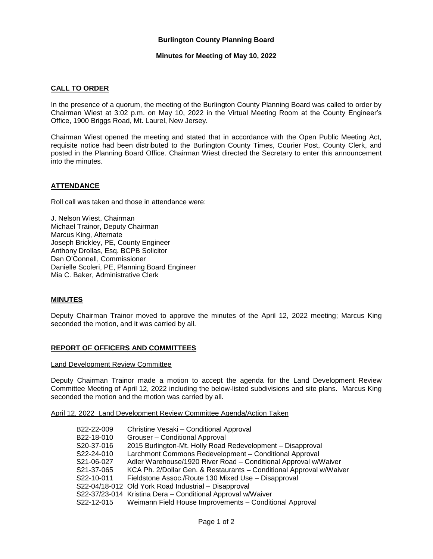## **Burlington County Planning Board**

### **Minutes for Meeting of May 10, 2022**

### **CALL TO ORDER**

In the presence of a quorum, the meeting of the Burlington County Planning Board was called to order by Chairman Wiest at 3:02 p.m. on May 10, 2022 in the Virtual Meeting Room at the County Engineer's Office, 1900 Briggs Road, Mt. Laurel, New Jersey.

Chairman Wiest opened the meeting and stated that in accordance with the Open Public Meeting Act, requisite notice had been distributed to the Burlington County Times, Courier Post, County Clerk, and posted in the Planning Board Office. Chairman Wiest directed the Secretary to enter this announcement into the minutes.

## **ATTENDANCE**

Roll call was taken and those in attendance were:

J. Nelson Wiest, Chairman Michael Trainor, Deputy Chairman Marcus King, Alternate Joseph Brickley, PE, County Engineer Anthony Drollas, Esq. BCPB Solicitor Dan O'Connell, Commissioner Danielle Scoleri, PE, Planning Board Engineer Mia C. Baker, Administrative Clerk

# **MINUTES**

Deputy Chairman Trainor moved to approve the minutes of the April 12, 2022 meeting; Marcus King seconded the motion, and it was carried by all.

#### **REPORT OF OFFICERS AND COMMITTEES**

Land Development Review Committee

Deputy Chairman Trainor made a motion to accept the agenda for the Land Development Review Committee Meeting of April 12, 2022 including the below-listed subdivisions and site plans. Marcus King seconded the motion and the motion was carried by all.

April 12, 2022 Land Development Review Committee Agenda/Action Taken

| B22-22-009 | Christine Vesaki - Conditional Approval                             |
|------------|---------------------------------------------------------------------|
| B22-18-010 | Grouser – Conditional Approval                                      |
| S20-37-016 | 2015 Burlington-Mt. Holly Road Redevelopment - Disapproval          |
| S22-24-010 | Larchmont Commons Redevelopment - Conditional Approval              |
| S21-06-027 | Adler Warehouse/1920 River Road - Conditional Approval w/Waiver     |
| S21-37-065 | KCA Ph. 2/Dollar Gen. & Restaurants - Conditional Approval w/Waiver |
| S22-10-011 | Fieldstone Assoc./Route 130 Mixed Use - Disapproval                 |
|            | S22-04/18-012 Old York Road Industrial - Disapproval                |
|            | S22-37/23-014 Kristina Dera - Conditional Approval w/Waiver         |
| S22-12-015 | Weimann Field House Improvements - Conditional Approval             |